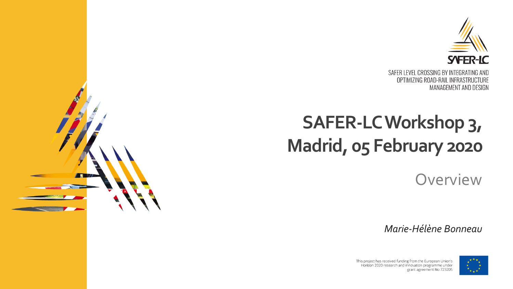

OPTIMIZING ROAD-RAIL INFRASTRUCTURE MANAGEMENT AND DESIGN

# **SAFER-LC Workshop 3, Madrid, 05 February 2020**

**Overview** 

*Marie-Hélène Bonneau*



This project has received funding from the European Union's Horizon 2020 research and innovation programme under grant agreement No 723205

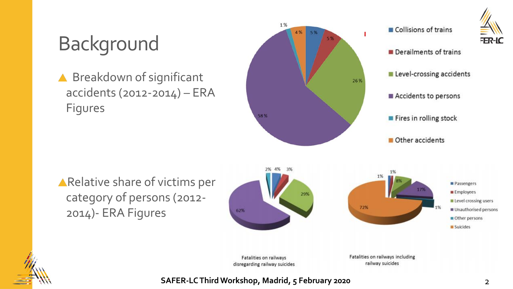# FER-IC

# Background

▲ Breakdown of significant accidents (2012-2014) – ERA Figures



Relative share of victims per category of persons (2012- 2014)- ERA Figures



Fatalities on railways disregarding railway suicides Fatalities on railways including railway suicides

**SAFER-LC Third Workshop, Madrid, 5 February 2020** 2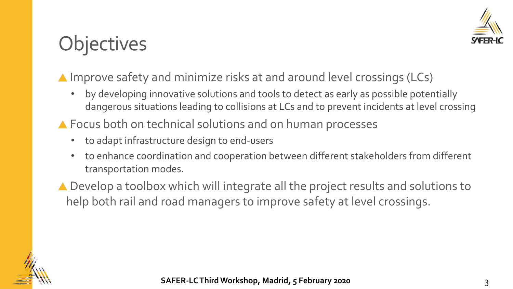

# **Objectives**

#### ▲ Improve safety and minimize risks at and around level crossings (LCs)

- by developing innovative solutions and tools to detect as early as possible potentially dangerous situations leading to collisions at LCs and to prevent incidents at level crossing
- ▲ Focus both on technical solutions and on human processes
	- to adapt infrastructure design to end-users
	- to enhance coordination and cooperation between different stakeholders from different transportation modes.
- ▲ Develop a toolbox which will integrate all the project results and solutions to help both rail and road managers to improve safety at level crossings.

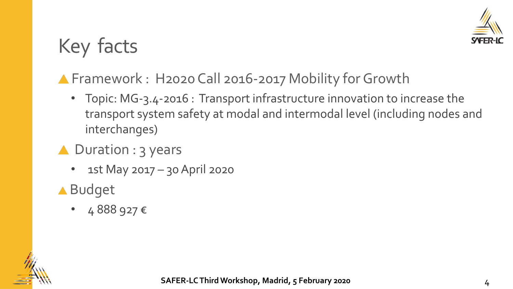

# Key facts

### ▲ Framework : H2020 Call 2016-2017 Mobility for Growth

- Topic: MG-3.4-2016 : Transport infrastructure innovation to increase the transport system safety at modal and intermodal level (including nodes and interchanges)
- ▲ Duration : 3 years
	- 1st May 2017 30 April 2020
- Budget
	- 4888 927  $\epsilon$

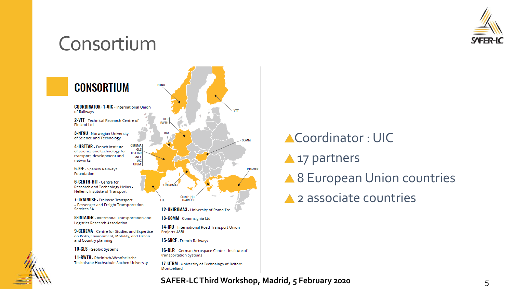

## Consortium



# Coordinator : UIC **A** 17 partners ▲ 8 European Union countries **▲ 2 associate countries**

#### **SAFER-LC Third Workshop, Madrid, 5 February 2020** 5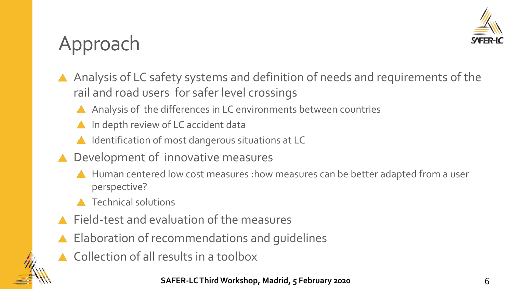

# Approach

- Analysis of LC safety systems and definition of needs and requirements of the rail and road users for safer level crossings
	- Analysis of the differences in LC environments between countries
	- **A** In depth review of LC accident data
	- ▲ Identification of most dangerous situations at LC
- ▲ Development of innovative measures
	- A Human centered low cost measures : how measures can be better adapted from a user perspective?
	- **A** Technical solutions
- Field-test and evaluation of the measures
- ▲ Elaboration of recommendations and quidelines
- ▲ Collection of all results in a toolbox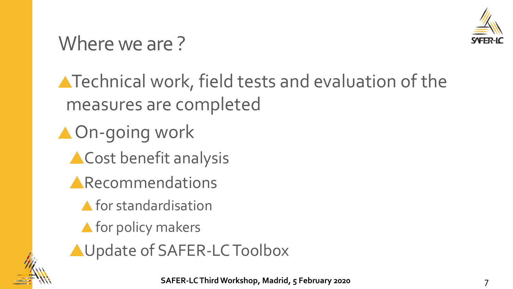

# Where we are?

**A** Technical work, field tests and evaluation of the measures are completed

▲ On-going work **ACost benefit analysis** 

- **ARECOMMENDATIONS** 
	- A for standardisation
	- **A** for policy makers
- AUpdate of SAFER-LC Toolbox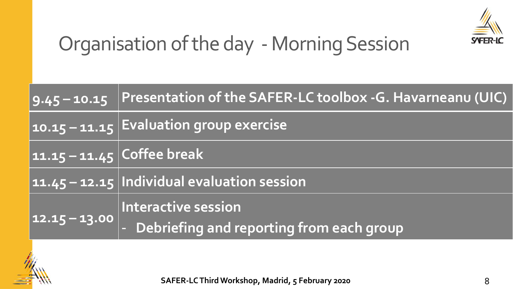

# Organisation of the day - Morning Session

|                            | 9.45-10.15 Presentation of the SAFER-LC toolbox -G. Havarneanu (UIC) |
|----------------------------|----------------------------------------------------------------------|
|                            | 10.15 - 11.15 Evaluation group exercise                              |
| 11.15 - 11.45 Coffee break |                                                                      |
|                            | 11.45 - 12.15 Individual evaluation session                          |
| $ 12.15 - 13.00 $          | Interactive session                                                  |
|                            | - Debriefing and reporting from each group                           |



**SAFER-LC Third Workshop, Madrid, 5 February 2020** 8